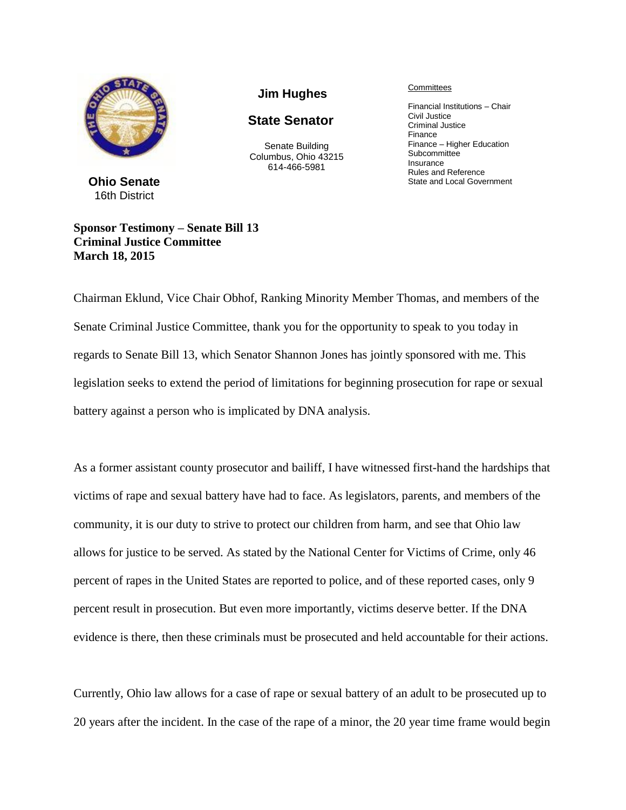

**Ohio Senate** 16th District

## **Sponsor Testimony – Senate Bill 13 Criminal Justice Committee March 18, 2015**

## **Jim Hughes**

## **State Senator**

Senate Building Columbus, Ohio 43215 614-466-5981

## **Committees**

Financial Institutions – Chair Civil Justice Criminal Justice Finance Finance – Higher Education **Subcommittee** Insurance Rules and Reference State and Local Government

Chairman Eklund, Vice Chair Obhof, Ranking Minority Member Thomas, and members of the Senate Criminal Justice Committee, thank you for the opportunity to speak to you today in regards to Senate Bill 13, which Senator Shannon Jones has jointly sponsored with me. This legislation seeks to extend the period of limitations for beginning prosecution for rape or sexual battery against a person who is implicated by DNA analysis.

As a former assistant county prosecutor and bailiff, I have witnessed first-hand the hardships that victims of rape and sexual battery have had to face. As legislators, parents, and members of the community, it is our duty to strive to protect our children from harm, and see that Ohio law allows for justice to be served. As stated by the National Center for Victims of Crime, only 46 percent of rapes in the United States are reported to police, and of these reported cases, only 9 percent result in prosecution. But even more importantly, victims deserve better. If the DNA evidence is there, then these criminals must be prosecuted and held accountable for their actions.

Currently, Ohio law allows for a case of rape or sexual battery of an adult to be prosecuted up to 20 years after the incident. In the case of the rape of a minor, the 20 year time frame would begin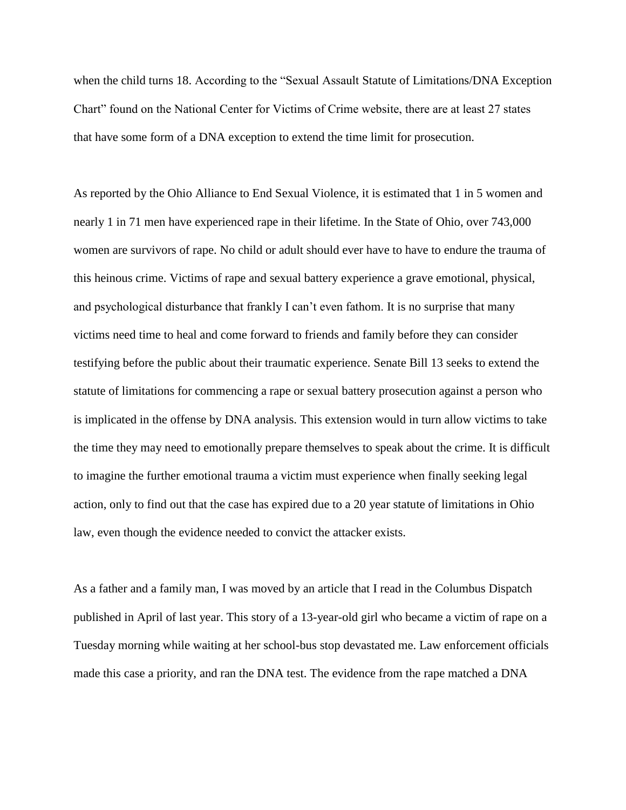when the child turns 18. According to the "Sexual Assault Statute of Limitations/DNA Exception Chart" found on the National Center for Victims of Crime website, there are at least 27 states that have some form of a DNA exception to extend the time limit for prosecution.

As reported by the Ohio Alliance to End Sexual Violence, it is estimated that 1 in 5 women and nearly 1 in 71 men have experienced rape in their lifetime. In the State of Ohio, over 743,000 women are survivors of rape. No child or adult should ever have to have to endure the trauma of this heinous crime. Victims of rape and sexual battery experience a grave emotional, physical, and psychological disturbance that frankly I can't even fathom. It is no surprise that many victims need time to heal and come forward to friends and family before they can consider testifying before the public about their traumatic experience. Senate Bill 13 seeks to extend the statute of limitations for commencing a rape or sexual battery prosecution against a person who is implicated in the offense by DNA analysis. This extension would in turn allow victims to take the time they may need to emotionally prepare themselves to speak about the crime. It is difficult to imagine the further emotional trauma a victim must experience when finally seeking legal action, only to find out that the case has expired due to a 20 year statute of limitations in Ohio law, even though the evidence needed to convict the attacker exists.

As a father and a family man, I was moved by an article that I read in the Columbus Dispatch published in April of last year. This story of a 13-year-old girl who became a victim of rape on a Tuesday morning while waiting at her school-bus stop devastated me. Law enforcement officials made this case a priority, and ran the DNA test. The evidence from the rape matched a DNA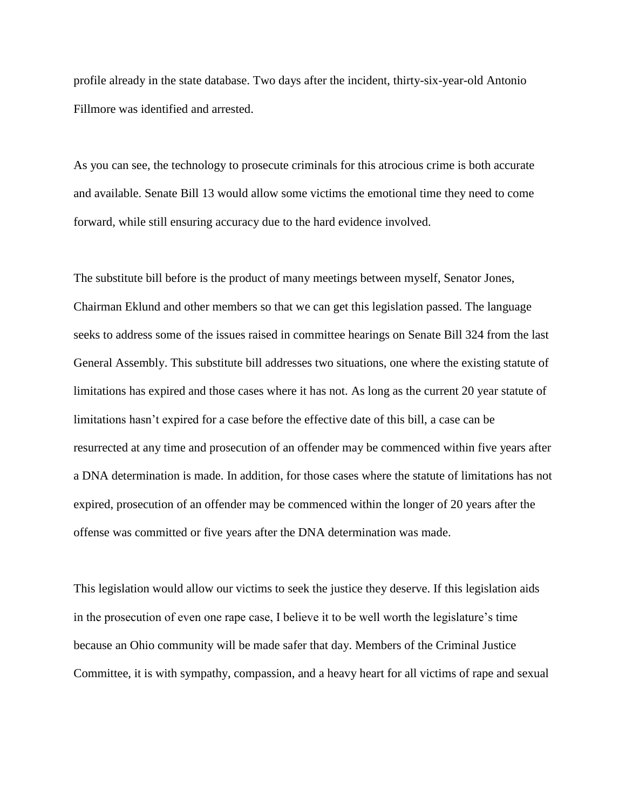profile already in the state database. Two days after the incident, thirty-six-year-old Antonio Fillmore was identified and arrested.

As you can see, the technology to prosecute criminals for this atrocious crime is both accurate and available. Senate Bill 13 would allow some victims the emotional time they need to come forward, while still ensuring accuracy due to the hard evidence involved.

The substitute bill before is the product of many meetings between myself, Senator Jones, Chairman Eklund and other members so that we can get this legislation passed. The language seeks to address some of the issues raised in committee hearings on Senate Bill 324 from the last General Assembly. This substitute bill addresses two situations, one where the existing statute of limitations has expired and those cases where it has not. As long as the current 20 year statute of limitations hasn't expired for a case before the effective date of this bill, a case can be resurrected at any time and prosecution of an offender may be commenced within five years after a DNA determination is made. In addition, for those cases where the statute of limitations has not expired, prosecution of an offender may be commenced within the longer of 20 years after the offense was committed or five years after the DNA determination was made.

This legislation would allow our victims to seek the justice they deserve. If this legislation aids in the prosecution of even one rape case, I believe it to be well worth the legislature's time because an Ohio community will be made safer that day. Members of the Criminal Justice Committee, it is with sympathy, compassion, and a heavy heart for all victims of rape and sexual